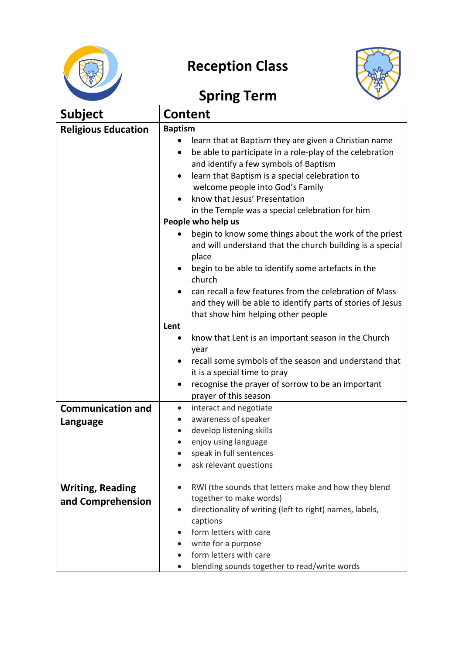

## **Reception Class**



## **Spring Term**

| <b>Subject</b>                               | <b>Content</b>                                                                                                                                                                                                                                                                                                                                                                                                                                                                                                                                                                                                                                                                                                                                                                                                                                                                                                                                  |  |
|----------------------------------------------|-------------------------------------------------------------------------------------------------------------------------------------------------------------------------------------------------------------------------------------------------------------------------------------------------------------------------------------------------------------------------------------------------------------------------------------------------------------------------------------------------------------------------------------------------------------------------------------------------------------------------------------------------------------------------------------------------------------------------------------------------------------------------------------------------------------------------------------------------------------------------------------------------------------------------------------------------|--|
| <b>Religious Education</b>                   | <b>Baptism</b><br>learn that at Baptism they are given a Christian name<br>be able to participate in a role-play of the celebration<br>٠<br>and identify a few symbols of Baptism<br>learn that Baptism is a special celebration to<br>$\bullet$<br>welcome people into God's Family<br>know that Jesus' Presentation<br>in the Temple was a special celebration for him<br>People who help us<br>begin to know some things about the work of the priest<br>and will understand that the church building is a special<br>place<br>begin to be able to identify some artefacts in the<br>$\bullet$<br>church<br>can recall a few features from the celebration of Mass<br>and they will be able to identify parts of stories of Jesus<br>that show him helping other people<br>Lent<br>know that Lent is an important season in the Church<br>٠<br>year<br>recall some symbols of the season and understand that<br>it is a special time to pray |  |
| <b>Communication and</b><br>Language         | recognise the prayer of sorrow to be an important<br>٠<br>prayer of this season<br>interact and negotiate<br>$\bullet$<br>awareness of speaker<br>develop listening skills<br>$\bullet$<br>enjoy using language<br>speak in full sentences<br>ask relevant questions                                                                                                                                                                                                                                                                                                                                                                                                                                                                                                                                                                                                                                                                            |  |
| <b>Writing, Reading</b><br>and Comprehension | RWI (the sounds that letters make and how they blend<br>$\bullet$<br>together to make words)<br>directionality of writing (left to right) names, labels,<br>$\bullet$<br>captions<br>form letters with care<br>write for a purpose<br>form letters with care<br>blending sounds together to read/write words                                                                                                                                                                                                                                                                                                                                                                                                                                                                                                                                                                                                                                    |  |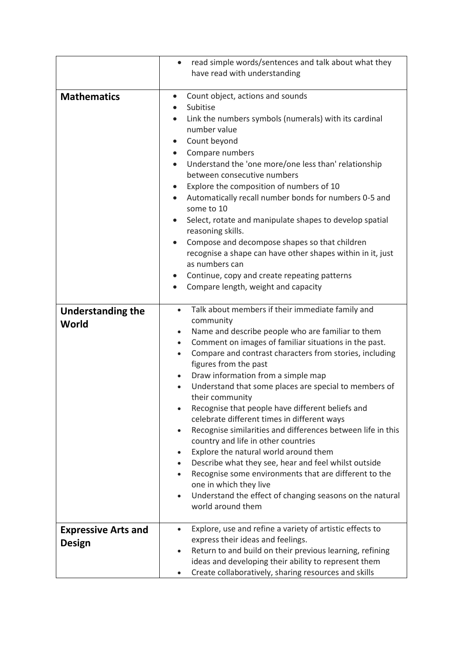|                                   | read simple words/sentences and talk about what they<br>$\bullet$                                                       |
|-----------------------------------|-------------------------------------------------------------------------------------------------------------------------|
|                                   | have read with understanding                                                                                            |
|                                   |                                                                                                                         |
| <b>Mathematics</b>                | Count object, actions and sounds<br>$\bullet$                                                                           |
|                                   | Subitise                                                                                                                |
|                                   | Link the numbers symbols (numerals) with its cardinal<br>$\bullet$                                                      |
|                                   | number value                                                                                                            |
|                                   | Count beyond<br>$\bullet$                                                                                               |
|                                   | Compare numbers<br>$\bullet$                                                                                            |
|                                   | Understand the 'one more/one less than' relationship<br>$\bullet$                                                       |
|                                   | between consecutive numbers                                                                                             |
|                                   | Explore the composition of numbers of 10<br>$\bullet$                                                                   |
|                                   | Automatically recall number bonds for numbers 0-5 and<br>$\bullet$<br>some to 10                                        |
|                                   | Select, rotate and manipulate shapes to develop spatial<br>$\bullet$<br>reasoning skills.                               |
|                                   | Compose and decompose shapes so that children<br>$\bullet$                                                              |
|                                   | recognise a shape can have other shapes within in it, just                                                              |
|                                   | as numbers can                                                                                                          |
|                                   | Continue, copy and create repeating patterns<br>$\bullet$                                                               |
|                                   | Compare length, weight and capacity                                                                                     |
|                                   |                                                                                                                         |
| <b>Understanding the</b><br>World | Talk about members if their immediate family and<br>$\bullet$<br>community                                              |
|                                   | Name and describe people who are familiar to them<br>$\bullet$                                                          |
|                                   | Comment on images of familiar situations in the past.<br>$\bullet$                                                      |
|                                   | Compare and contrast characters from stories, including<br>$\bullet$                                                    |
|                                   | figures from the past                                                                                                   |
|                                   | Draw information from a simple map                                                                                      |
|                                   | Understand that some places are special to members of                                                                   |
|                                   | their community                                                                                                         |
|                                   | Recognise that people have different beliefs and                                                                        |
|                                   | celebrate different times in different ways                                                                             |
|                                   | Recognise similarities and differences between life in this<br>$\bullet$                                                |
|                                   | country and life in other countries                                                                                     |
|                                   | Explore the natural world around them<br>$\bullet$<br>Describe what they see, hear and feel whilst outside<br>$\bullet$ |
|                                   | Recognise some environments that are different to the                                                                   |
|                                   | one in which they live                                                                                                  |
|                                   | Understand the effect of changing seasons on the natural<br>$\bullet$                                                   |
|                                   | world around them                                                                                                       |
| <b>Expressive Arts and</b>        | Explore, use and refine a variety of artistic effects to<br>$\bullet$                                                   |
|                                   | express their ideas and feelings.                                                                                       |
| <b>Design</b>                     | Return to and build on their previous learning, refining<br>$\bullet$                                                   |
|                                   | ideas and developing their ability to represent them                                                                    |
|                                   | Create collaboratively, sharing resources and skills                                                                    |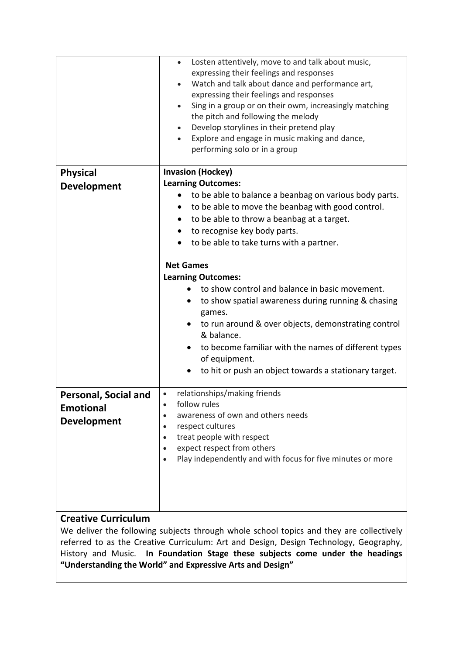|                            | Losten attentively, move to and talk about music,<br>$\bullet$<br>expressing their feelings and responses<br>Watch and talk about dance and performance art,<br>$\bullet$<br>expressing their feelings and responses<br>Sing in a group or on their owm, increasingly matching<br>$\bullet$<br>the pitch and following the melody<br>Develop storylines in their pretend play<br>Explore and engage in music making and dance,<br>$\bullet$<br>performing solo or in a group |  |
|----------------------------|------------------------------------------------------------------------------------------------------------------------------------------------------------------------------------------------------------------------------------------------------------------------------------------------------------------------------------------------------------------------------------------------------------------------------------------------------------------------------|--|
| <b>Physical</b>            | <b>Invasion (Hockey)</b>                                                                                                                                                                                                                                                                                                                                                                                                                                                     |  |
| <b>Development</b>         | <b>Learning Outcomes:</b>                                                                                                                                                                                                                                                                                                                                                                                                                                                    |  |
|                            | to be able to balance a beanbag on various body parts.                                                                                                                                                                                                                                                                                                                                                                                                                       |  |
|                            | to be able to move the beanbag with good control.                                                                                                                                                                                                                                                                                                                                                                                                                            |  |
|                            | to be able to throw a beanbag at a target.<br>$\bullet$                                                                                                                                                                                                                                                                                                                                                                                                                      |  |
|                            | to recognise key body parts.<br>$\bullet$                                                                                                                                                                                                                                                                                                                                                                                                                                    |  |
|                            | to be able to take turns with a partner.<br>$\bullet$                                                                                                                                                                                                                                                                                                                                                                                                                        |  |
|                            | <b>Net Games</b>                                                                                                                                                                                                                                                                                                                                                                                                                                                             |  |
|                            | <b>Learning Outcomes:</b>                                                                                                                                                                                                                                                                                                                                                                                                                                                    |  |
|                            | to show control and balance in basic movement.<br>to show spatial awareness during running & chasing                                                                                                                                                                                                                                                                                                                                                                         |  |
|                            | games.<br>to run around & over objects, demonstrating control<br>& balance.                                                                                                                                                                                                                                                                                                                                                                                                  |  |
|                            | to become familiar with the names of different types<br>of equipment.                                                                                                                                                                                                                                                                                                                                                                                                        |  |
|                            | to hit or push an object towards a stationary target.                                                                                                                                                                                                                                                                                                                                                                                                                        |  |
| Personal, Social and       | relationships/making friends<br>$\bullet$                                                                                                                                                                                                                                                                                                                                                                                                                                    |  |
| <b>Emotional</b>           | follow rules                                                                                                                                                                                                                                                                                                                                                                                                                                                                 |  |
| <b>Development</b>         | awareness of own and others needs                                                                                                                                                                                                                                                                                                                                                                                                                                            |  |
|                            | respect cultures<br>treat people with respect<br>$\bullet$                                                                                                                                                                                                                                                                                                                                                                                                                   |  |
|                            | expect respect from others                                                                                                                                                                                                                                                                                                                                                                                                                                                   |  |
|                            | Play independently and with focus for five minutes or more                                                                                                                                                                                                                                                                                                                                                                                                                   |  |
|                            |                                                                                                                                                                                                                                                                                                                                                                                                                                                                              |  |
|                            |                                                                                                                                                                                                                                                                                                                                                                                                                                                                              |  |
|                            |                                                                                                                                                                                                                                                                                                                                                                                                                                                                              |  |
|                            |                                                                                                                                                                                                                                                                                                                                                                                                                                                                              |  |
| <b>Creative Curriculum</b> |                                                                                                                                                                                                                                                                                                                                                                                                                                                                              |  |

We deliver the following subjects through whole school topics and they are collectively referred to as the Creative Curriculum: Art and Design, Design Technology, Geography, History and Music. **In Foundation Stage these subjects come under the headings "Understanding the World" and Expressive Arts and Design"**